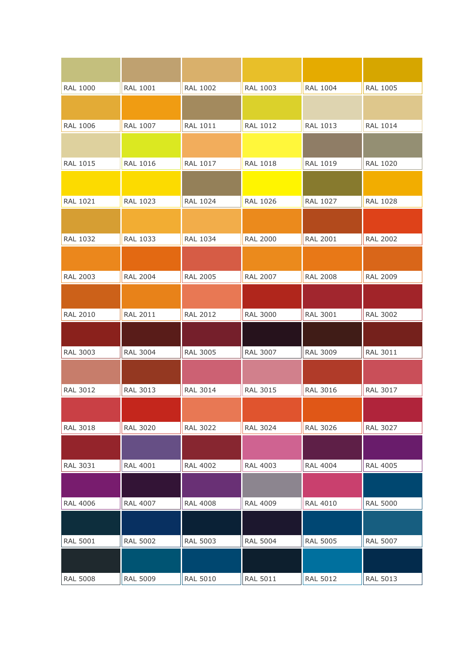| <b>RAL 1000</b> | <b>RAL 1001</b> | <b>RAL 1002</b> | <b>RAL 1003</b> | <b>RAL 1004</b> | RAL 1005        |
|-----------------|-----------------|-----------------|-----------------|-----------------|-----------------|
|                 |                 |                 |                 |                 |                 |
|                 |                 |                 |                 |                 |                 |
| <b>RAL 1006</b> | <b>RAL 1007</b> | <b>RAL 1011</b> | <b>RAL 1012</b> | <b>RAL 1013</b> | <b>RAL 1014</b> |
|                 |                 |                 |                 |                 |                 |
| <b>RAL 1015</b> | <b>RAL 1016</b> | <b>RAL 1017</b> | <b>RAL 1018</b> | <b>RAL 1019</b> | <b>RAL 1020</b> |
|                 |                 |                 |                 |                 |                 |
|                 |                 |                 |                 |                 |                 |
| RAL 1021        | RAL 1023        | <b>RAL 1024</b> | <b>RAL 1026</b> | <b>RAL 1027</b> | <b>RAL 1028</b> |
|                 |                 |                 |                 |                 |                 |
|                 |                 |                 |                 |                 |                 |
| <b>RAL 1032</b> | RAL 1033        | RAL 1034        | <b>RAL 2000</b> | <b>RAL 2001</b> | <b>RAL 2002</b> |
|                 |                 |                 |                 |                 |                 |
|                 |                 |                 |                 |                 |                 |
| <b>RAL 2003</b> | <b>RAL 2004</b> | <b>RAL 2005</b> | <b>RAL 2007</b> | <b>RAL 2008</b> | <b>RAL 2009</b> |
|                 |                 |                 |                 |                 |                 |
| <b>RAL 2010</b> | <b>RAL 2011</b> | <b>RAL 2012</b> | <b>RAL 3000</b> | <b>RAL 3001</b> | <b>RAL 3002</b> |
|                 |                 |                 |                 |                 |                 |
|                 |                 |                 |                 |                 |                 |
| <b>RAL 3003</b> | <b>RAL 3004</b> | <b>RAL 3005</b> | RAL 3007        | <b>RAL 3009</b> | RAL 3011        |
|                 |                 |                 |                 |                 |                 |
|                 |                 |                 |                 |                 |                 |
| <b>RAL 3012</b> | <b>RAL 3013</b> | <b>RAL 3014</b> | <b>RAL 3015</b> | <b>RAL 3016</b> | <b>RAL 3017</b> |
|                 |                 |                 |                 |                 |                 |
|                 |                 |                 |                 |                 |                 |
| <b>RAL 3018</b> | <b>RAL 3020</b> | <b>RAL 3022</b> | <b>RAL 3024</b> | RAL 3026        | RAL 3027        |
|                 |                 |                 |                 |                 |                 |
| <b>RAL 3031</b> | <b>RAL 4001</b> | <b>RAL 4002</b> | <b>RAL 4003</b> | <b>RAL 4004</b> | <b>RAL 4005</b> |
|                 |                 |                 |                 |                 |                 |
|                 |                 |                 |                 |                 |                 |
| <b>RAL 4006</b> | <b>RAL 4007</b> | <b>RAL 4008</b> | <b>RAL 4009</b> | <b>RAL 4010</b> | <b>RAL 5000</b> |
|                 |                 |                 |                 |                 |                 |
|                 |                 |                 |                 |                 |                 |
| <b>RAL 5001</b> | <b>RAL 5002</b> | <b>RAL 5003</b> | <b>RAL 5004</b> | <b>RAL 5005</b> | <b>RAL 5007</b> |
|                 |                 |                 |                 |                 |                 |
|                 |                 |                 |                 |                 |                 |
| <b>RAL 5008</b> | <b>RAL 5009</b> | <b>RAL 5010</b> | <b>RAL 5011</b> | <b>RAL 5012</b> | <b>RAL 5013</b> |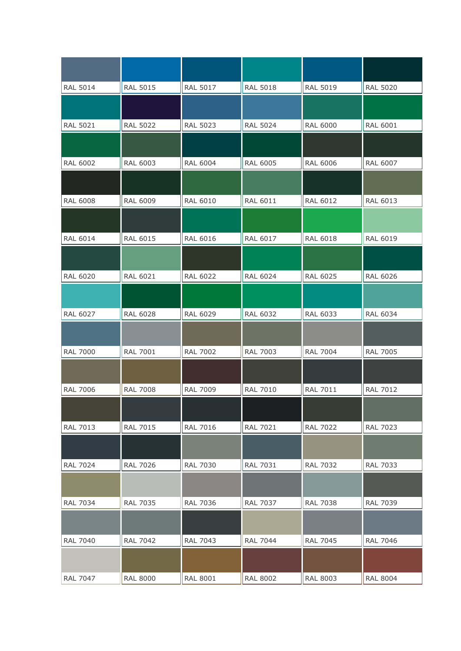| <b>RAL 5014</b> | <b>RAL 5015</b> | <b>RAL 5017</b> | <b>RAL 5018</b> | <b>RAL 5019</b> | <b>RAL 5020</b> |
|-----------------|-----------------|-----------------|-----------------|-----------------|-----------------|
|                 |                 |                 |                 |                 |                 |
| <b>RAL 5021</b> | <b>RAL 5022</b> | <b>RAL 5023</b> | <b>RAL 5024</b> | <b>RAL 6000</b> | <b>RAL 6001</b> |
|                 |                 |                 |                 |                 |                 |
| <b>RAL 6002</b> | <b>RAL 6003</b> | <b>RAL 6004</b> | <b>RAL 6005</b> | <b>RAL 6006</b> | <b>RAL 6007</b> |
|                 |                 |                 |                 |                 |                 |
| <b>RAL 6008</b> | <b>RAL 6009</b> | <b>RAL 6010</b> | <b>RAL 6011</b> | <b>RAL 6012</b> | RAL 6013        |
|                 |                 |                 |                 |                 |                 |
| <b>RAL 6014</b> | <b>RAL 6015</b> | <b>RAL 6016</b> | <b>RAL 6017</b> | <b>RAL 6018</b> | <b>RAL 6019</b> |
|                 |                 |                 |                 |                 |                 |
| <b>RAL 6020</b> | <b>RAL 6021</b> | <b>RAL 6022</b> | <b>RAL 6024</b> | <b>RAL 6025</b> | <b>RAL 6026</b> |
|                 |                 |                 |                 |                 |                 |
| <b>RAL 6027</b> | <b>RAL 6028</b> | <b>RAL 6029</b> | <b>RAL 6032</b> | RAL 6033        | <b>RAL 6034</b> |
|                 |                 |                 |                 |                 |                 |
| <b>RAL 7000</b> | <b>RAL 7001</b> | <b>RAL 7002</b> | <b>RAL 7003</b> | <b>RAL 7004</b> | <b>RAL 7005</b> |
|                 |                 |                 |                 |                 |                 |
| <b>RAL 7006</b> | <b>RAL 7008</b> | <b>RAL 7009</b> | <b>RAL 7010</b> | <b>RAL 7011</b> | <b>RAL 7012</b> |
|                 |                 |                 |                 |                 |                 |
| <b>RAL 7013</b> | RAL 7015        | <b>RAL 7016</b> | <b>RAL 7021</b> | <b>RAL 7022</b> | <b>RAL 7023</b> |
|                 |                 |                 |                 |                 |                 |
| <b>RAL 7024</b> | <b>RAL 7026</b> | <b>RAL 7030</b> | <b>RAL 7031</b> | <b>RAL 7032</b> | RAL 7033        |
|                 |                 |                 |                 |                 |                 |
| <b>RAL 7034</b> | <b>RAL 7035</b> | <b>RAL 7036</b> | RAL 7037        | <b>RAL 7038</b> | <b>RAL 7039</b> |
|                 |                 |                 |                 |                 |                 |
| <b>RAL 7040</b> | <b>RAL 7042</b> | <b>RAL 7043</b> | <b>RAL 7044</b> | <b>RAL 7045</b> | <b>RAL 7046</b> |
|                 |                 |                 |                 |                 |                 |
| <b>RAL 7047</b> | <b>RAL 8000</b> | <b>RAL 8001</b> | <b>RAL 8002</b> | <b>RAL 8003</b> | <b>RAL 8004</b> |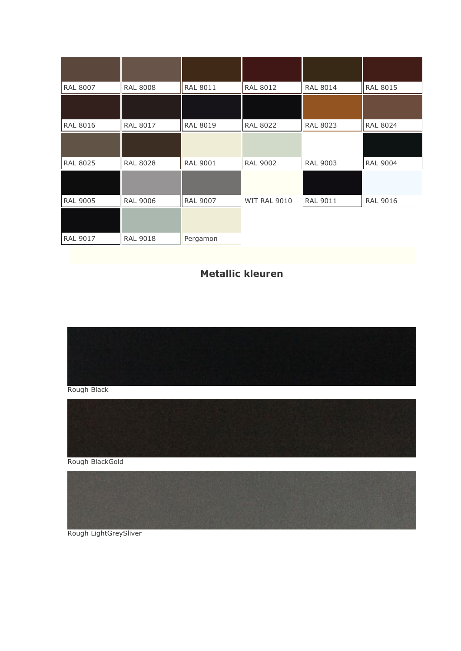| <b>RAL 8007</b> | <b>RAL 8008</b> | <b>RAL 8011</b> | <b>RAL 8012</b>     | <b>RAL 8014</b> | <b>RAL 8015</b> |
|-----------------|-----------------|-----------------|---------------------|-----------------|-----------------|
|                 |                 |                 |                     |                 |                 |
| <b>RAL 8016</b> | <b>RAL 8017</b> | <b>RAL 8019</b> | <b>RAL 8022</b>     | <b>RAL 8023</b> | <b>RAL 8024</b> |
|                 |                 |                 |                     |                 |                 |
| <b>RAL 8025</b> | <b>RAL 8028</b> | <b>RAL 9001</b> | <b>RAL 9002</b>     | <b>RAL 9003</b> | <b>RAL 9004</b> |
|                 |                 |                 |                     |                 |                 |
| <b>RAL 9005</b> | <b>RAL 9006</b> | <b>RAL 9007</b> | <b>WIT RAL 9010</b> | <b>RAL 9011</b> | <b>RAL 9016</b> |
|                 |                 |                 |                     |                 |                 |
| <b>RAL 9017</b> | <b>RAL 9018</b> | Pergamon        |                     |                 |                 |

## **Metallic kleuren**



Rough Black





Rough LightGreySliver